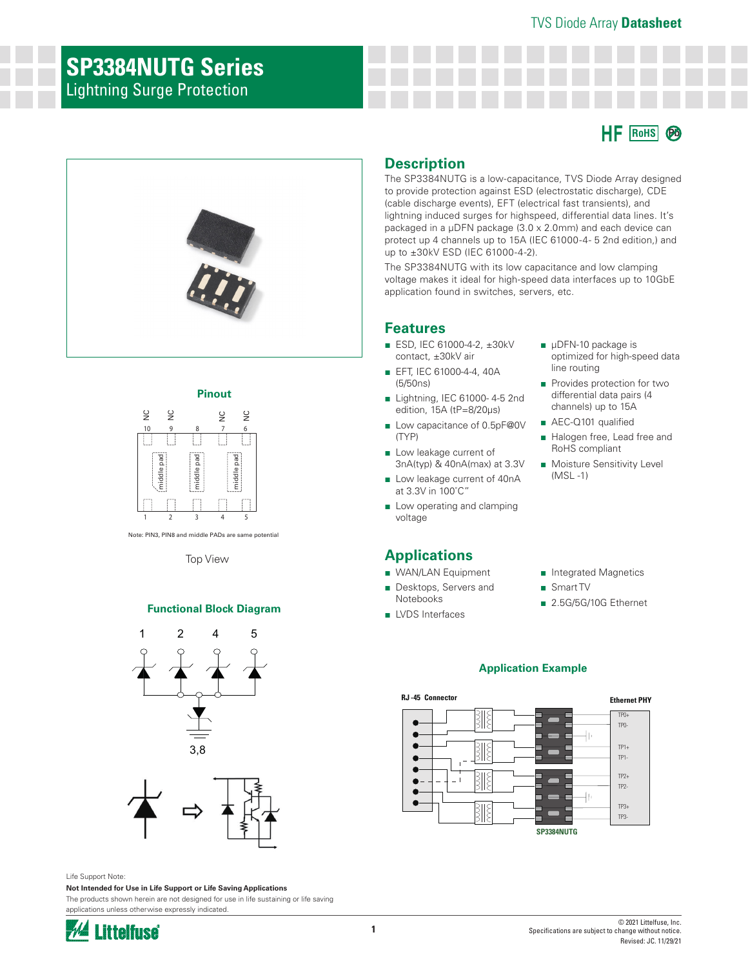# **SP3384NUTG Series**

Lightning Surge Protection





#### **Pinout**



Note: PIN3, PIN8 and middle PADs are same potential

Top View

#### **Functional Block Diagram**





Life Support Note:

**Not Intended for Use in Life Support or Life Saving Applications** The products shown herein are not designed for use in life sustaining or life saving applications unless otherwise expressly indicated.



#### **Description**

The SP3384NUTG is a low-capacitance, TVS Diode Array designed to provide protection against ESD (electrostatic discharge), CDE (cable discharge events), EFT (electrical fast transients), and lightning induced surges for highspeed, differential data lines. It's packaged in a µDFN package (3.0 x 2.0mm) and each device can protect up 4 channels up to 15A (IEC 61000-4- 5 2nd edition,) and up to ±30kV ESD (IEC 61000-4-2).

The SP3384NUTG with its low capacitance and low clamping voltage makes it ideal for high-speed data interfaces up to 10GbE application found in switches, servers, etc.

#### **Features**

- ESD, IEC 61000-4-2, ±30kV contact, ±30kV air
- EFT, IEC 61000-4-4, 40A (5/50ns)
- Lightning, IEC 61000-4-5 2nd edition, 15A (tP=8/20μs)
- Low capacitance of 0.5pF@0V (TYP)
- Low leakage current of 3nA(typ) & 40nA(max) at 3.3V
- Low leakage current of 40nA at 3.3V in 100˚C"
- Low operating and clamping voltage

### **Applications**

- WAN/LAN Equipment
- Desktops, Servers and Notebooks
- LVDS Interfaces
- μDFN-10 package is optimized for high-speed data line routing
- Provides protection for two differential data pairs (4 channels) up to 15A
- AEC-Q101 qualified
- Halogen free, Lead free and RoHS compliant
- Moisture Sensitivity Level (MSL -1)
- Integrated Magnetics
- Smart TV
- 2.5G/5G/10G Ethernet

#### **Application Example**

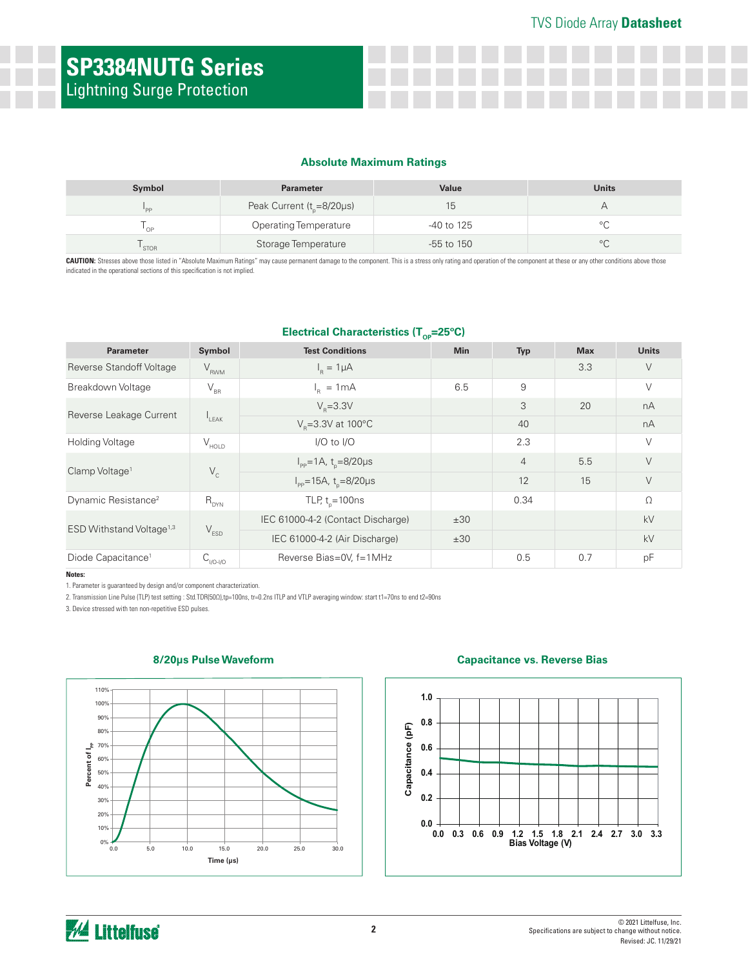#### **Absolute Maximum Ratings**

| Symbol      | <b>Parameter</b>              | Value          | <b>Units</b> |
|-------------|-------------------------------|----------------|--------------|
| "PP         | Peak Current $(t0=8/20\mu s)$ |                |              |
| $\cap P$    | Operating Temperature         | -40 to 125     |              |
| <b>STOR</b> | Storage Temperature           | $-55$ to $150$ | $\circ$<br>◡ |

CAUTION: Stresses above those listed in "Absolute Maximum Ratings" may cause permanent damage to the component. This is a stress only rating and operation of the component at these or any other conditions above those indicated in the operational sections of this specification is not implied.

#### **Electrical Characteristics (T<sub>op</sub>=25°C)**

| <b>Parameter</b>                     | Symbol                     | <b>Test Conditions</b>                           | <b>Min</b> | <b>Typ</b>     | <b>Max</b> | <b>Units</b> |
|--------------------------------------|----------------------------|--------------------------------------------------|------------|----------------|------------|--------------|
| Reverse Standoff Voltage             | $V_{RWM}$                  | $I_p = 1 \mu A$                                  |            |                | 3.3        | $\vee$       |
| Breakdown Voltage                    | $\mathsf{V}_{\mathsf{BR}}$ | $I_n = 1mA$                                      | 6.5        | 9              |            | $\vee$       |
| Reverse Leakage Current              | $I_{LEAK}$                 | $V_{p} = 3.3V$                                   |            | 3              | 20         | nA           |
|                                      |                            | $V_{\rm p}$ =3.3V at 100°C                       |            | 40             |            | nA           |
| <b>Holding Voltage</b>               | $V_{HOLD}$                 | $I/O$ to $I/O$                                   |            | 2.3            |            | $\vee$       |
| Clamp Voltage <sup>1</sup>           | $V_{c}$                    | $I_{\rm pp} = 1$ A, t <sub>p</sub> =8/20µs       |            | $\overline{4}$ | 5.5        | $\vee$       |
|                                      |                            | $I_{\text{pp}} = 15A, t_{\text{p}} = 8/20 \mu s$ |            | 12             | 15         | $\vee$       |
| Dynamic Resistance <sup>2</sup>      | $R_{DYN}$                  | TLP, $t_{n} = 100$ ns                            |            | 0.34           |            | $\Omega$     |
| ESD Withstand Voltage <sup>1,3</sup> | $V_{ESD}$                  | IEC 61000-4-2 (Contact Discharge)                | ±30        |                |            | kV           |
|                                      |                            | IEC 61000-4-2 (Air Discharge)                    | ±30        |                |            | kV           |
| Diode Capacitance <sup>1</sup>       | $C_{VO-VO}$                | Reverse Bias=0V, f=1MHz                          |            | 0.5            | 0.7        | pF           |

#### **Notes:**

1. Parameter is guaranteed by design and/or component characterization.

2. Transmission Line Pulse (TLP) test setting : Std.TDR(50Ω),tp=100ns, tr=0.2ns ITLP and VTLP averaging window: start t1=70ns to end t2=90ns

3. Device stressed with ten non-repetitive ESD pulses.



#### **8/20μs Pulse Waveform**

#### **Capacitance vs. Reverse Bias**

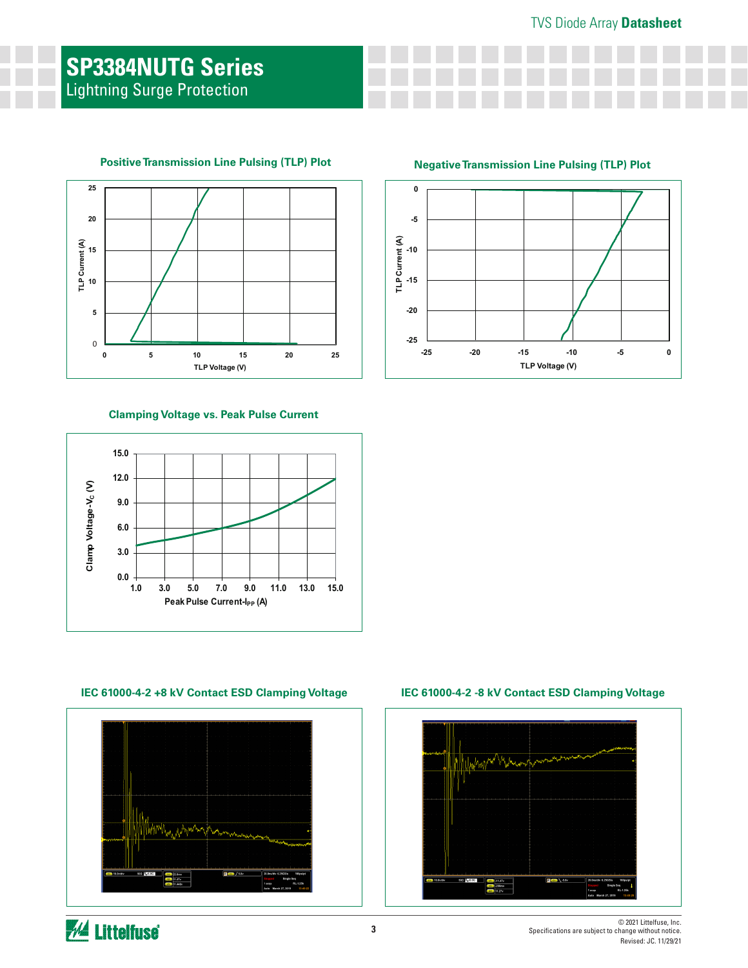### **SP3384NUTG Series** Lightning Surge Protection



#### **Positive Transmission Line Pulsing (TLP) Plot**

#### **Clamping Voltage vs. Peak Pulse Current**



**IEC 61000-4-2 +8 kV Contact ESD Clamping Voltage IEC 61000-4-2 -8 kV Contact ESD Clamping Voltage**



**Negative Transmission Line Pulsing (TLP) Plot**





*M* Littelfuse®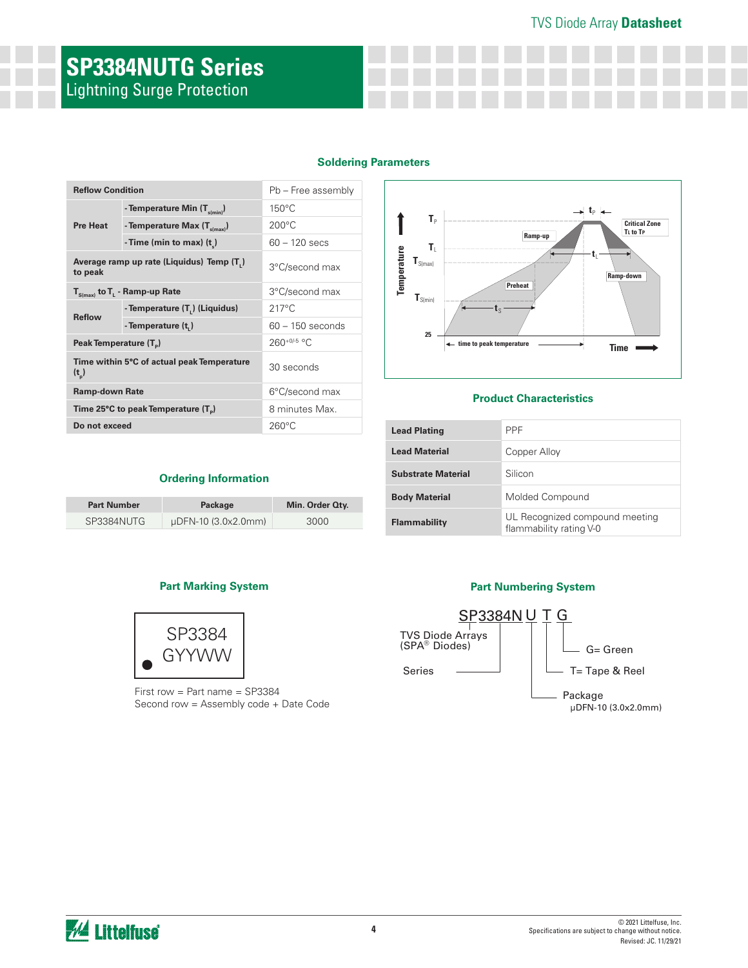### TVS Diode Array **Datasheet**

## **SP3384NUTG Series** Lightning Surge Protection

|  | <b>Soldering Parameters</b> |
|--|-----------------------------|
|  |                             |

| <b>Reflow Condition</b>                               |                                                           | Pb – Free assembly |  |  |
|-------------------------------------------------------|-----------------------------------------------------------|--------------------|--|--|
|                                                       | - Temperature Min (T <sub>s(min)</sub> )                  | $150^{\circ}$ C    |  |  |
| <b>Pre Heat</b>                                       | - Temperature Max $(T_{\text{sum}})$                      | $200^{\circ}$ C    |  |  |
|                                                       | - Time (min to max) $(t_*)$                               | $60 - 120$ secs    |  |  |
| to peak                                               | Average ramp up rate (Liquidus) Temp (T.)                 | 3°C/second max     |  |  |
|                                                       | $T_{S(max)}$ to $T_{L}$ - Ramp-up Rate                    | 3°C/second max     |  |  |
|                                                       | - Temperature (T.) (Liquidus)                             | $217^{\circ}$ C    |  |  |
| <b>Reflow</b>                                         | - Temperature (t)                                         | $60 - 150$ seconds |  |  |
| Peak Temperature (T <sub>e</sub> )                    |                                                           | $260^{+0/5}$ °C    |  |  |
| Time within 5°C of actual peak Temperature<br>$(t_n)$ |                                                           | 30 seconds         |  |  |
| <b>Ramp-down Rate</b>                                 |                                                           | 6°C/second max     |  |  |
|                                                       | Time 25 $\degree$ C to peak Temperature (T <sub>a</sub> ) | 8 minutes Max.     |  |  |
| Do not exceed                                         |                                                           | $260^{\circ}$ C    |  |  |



#### **Product Characteristics**

| <b>Lead Plating</b>  | <b>PPF</b>                                                |
|----------------------|-----------------------------------------------------------|
| Lead Material        | Copper Alloy                                              |
| Substrate Material   | Silicon                                                   |
| <b>Body Material</b> | Molded Compound                                           |
| <b>Flammability</b>  | UL Recognized compound meeting<br>flammability rating V-0 |

#### **Ordering Information**

| <b>Part Number</b> | Package             | Min. Order Oty. |
|--------------------|---------------------|-----------------|
| SP3384NUTG         | µDFN-10 (3.0x2.0mm) | 3000            |

#### **Part Marking System Part Numbering System**



First row = Part name = SP3384 Second row = Assembly code + Date Code